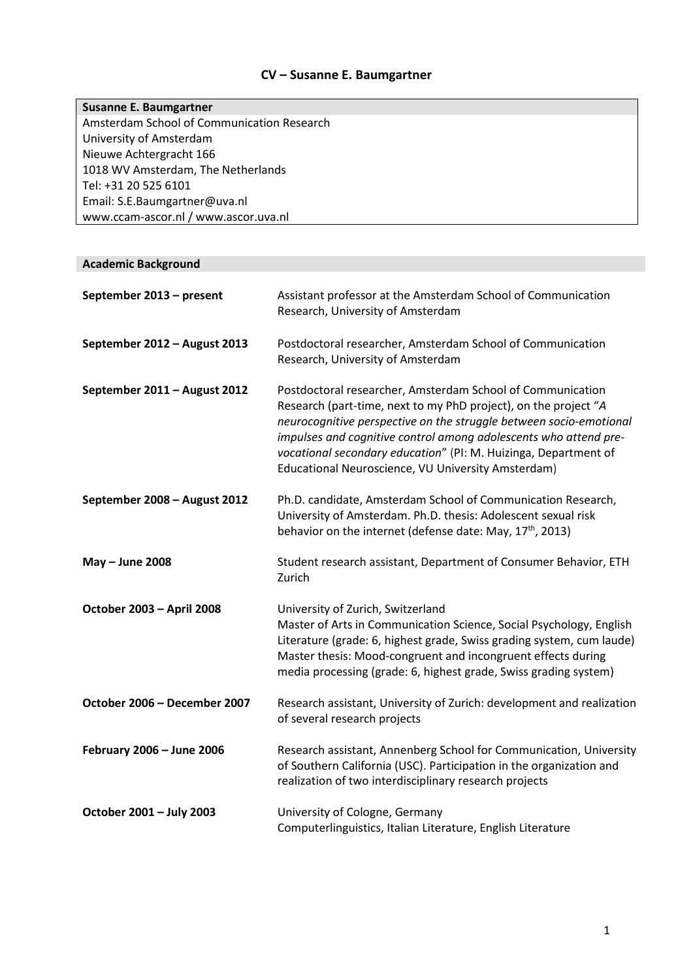# **CV – Susanne E. Baumgartner**

| <b>Susanne E. Baumgartner</b>              |
|--------------------------------------------|
| Amsterdam School of Communication Research |
| University of Amsterdam                    |
| Nieuwe Achtergracht 166                    |
| 1018 WV Amsterdam, The Netherlands         |
| Tel: +31 20 525 6101                       |
| Email: S.E.Baumgartner@uva.nl              |
| www.ccam-ascor.nl / www.ascor.uva.nl       |

# **Academic Background**

| September 2013 - present     | Assistant professor at the Amsterdam School of Communication<br>Research, University of Amsterdam                                                                                                                                                                                                                                                                                                |
|------------------------------|--------------------------------------------------------------------------------------------------------------------------------------------------------------------------------------------------------------------------------------------------------------------------------------------------------------------------------------------------------------------------------------------------|
| September 2012 - August 2013 | Postdoctoral researcher, Amsterdam School of Communication<br>Research, University of Amsterdam                                                                                                                                                                                                                                                                                                  |
| September 2011 - August 2012 | Postdoctoral researcher, Amsterdam School of Communication<br>Research (part-time, next to my PhD project), on the project "A<br>neurocognitive perspective on the struggle between socio-emotional<br>impulses and cognitive control among adolescents who attend pre-<br>vocational secondary education" (PI: M. Huizinga, Department of<br>Educational Neuroscience, VU University Amsterdam) |
| September 2008 - August 2012 | Ph.D. candidate, Amsterdam School of Communication Research,<br>University of Amsterdam. Ph.D. thesis: Adolescent sexual risk<br>behavior on the internet (defense date: May, 17 <sup>th</sup> , 2013)                                                                                                                                                                                           |
| May - June 2008              | Student research assistant, Department of Consumer Behavior, ETH<br>Zurich                                                                                                                                                                                                                                                                                                                       |
| October 2003 - April 2008    | University of Zurich, Switzerland<br>Master of Arts in Communication Science, Social Psychology, English<br>Literature (grade: 6, highest grade, Swiss grading system, cum laude)<br>Master thesis: Mood-congruent and incongruent effects during<br>media processing (grade: 6, highest grade, Swiss grading system)                                                                            |
| October 2006 - December 2007 | Research assistant, University of Zurich: development and realization<br>of several research projects                                                                                                                                                                                                                                                                                            |
| February 2006 - June 2006    | Research assistant, Annenberg School for Communication, University<br>of Southern California (USC). Participation in the organization and<br>realization of two interdisciplinary research projects                                                                                                                                                                                              |
| October 2001 - July 2003     | University of Cologne, Germany<br>Computerlinguistics, Italian Literature, English Literature                                                                                                                                                                                                                                                                                                    |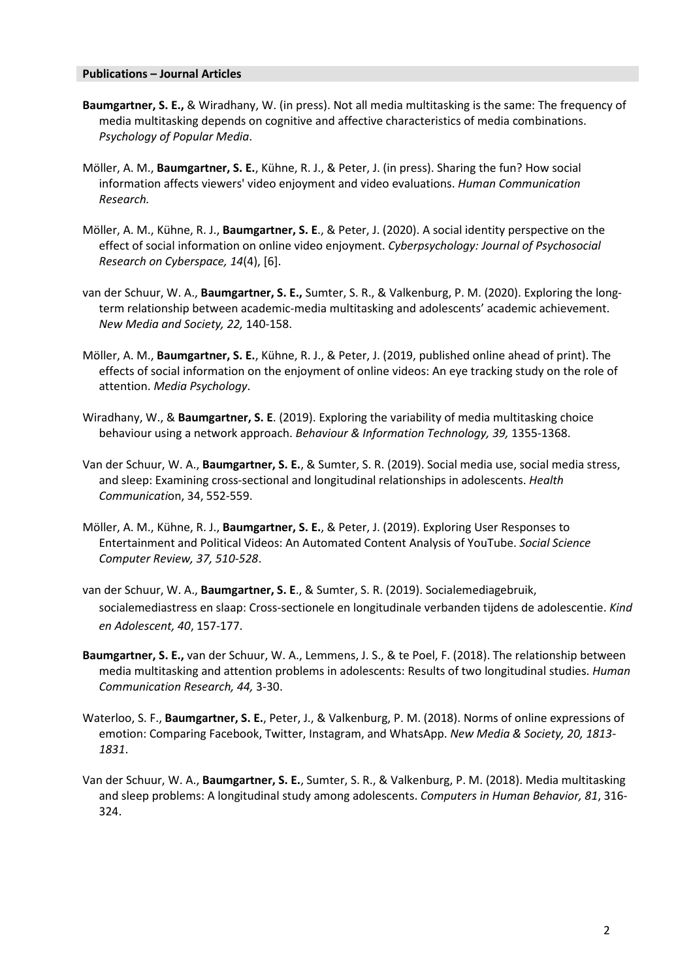#### **Publications – Journal Articles**

- **Baumgartner, S. E.,** & Wiradhany, W. (in press). Not all media multitasking is the same: The frequency of media multitasking depends on cognitive and affective characteristics of media combinations. *Psychology of Popular Media*.
- Möller, A. M., **Baumgartner, S. E.**, Kühne, R. J., & Peter, J. (in press). Sharing the fun? How social information affects viewers' video enjoyment and video evaluations. *Human Communication Research.*
- Möller, A. M., Kühne, R. J., **Baumgartner, S. E**., & Peter, J. (2020). A social identity perspective on the effect of social information on online video enjoyment. *Cyberpsychology: Journal of Psychosocial Research on Cyberspace, 14*(4), [6].
- van der Schuur, W. A., **Baumgartner, S. E.,** Sumter, S. R., & Valkenburg, P. M. (2020). Exploring the longterm relationship between academic-media multitasking and adolescents' academic achievement. *New Media and Society, 22,* 140-158.
- Möller, A. M., **Baumgartner, S. E.**, Kühne, R. J., & Peter, J. (2019, published online ahead of print). The effects of social information on the enjoyment of online videos: An eye tracking study on the role of attention. *Media Psychology*.
- Wiradhany, W., & **Baumgartner, S. E**. (2019). Exploring the variability of media multitasking choice behaviour using a network approach. *Behaviour & Information Technology, 39,* 1355-1368.
- Van der Schuur, W. A., **Baumgartner, S. E.**, & Sumter, S. R. (2019). Social media use, social media stress, and sleep: Examining cross-sectional and longitudinal relationships in adolescents. *Health Communicati*on, 34, 552-559.
- Möller, A. M., Kühne, R. J., **Baumgartner, S. E.**, & Peter, J. (2019). Exploring User Responses to Entertainment and Political Videos: An Automated Content Analysis of YouTube. *Social Science Computer Review, 37, 510-528*.
- van der Schuur, W. A., **Baumgartner, S. E**., & Sumter, S. R. (2019). Socialemediagebruik, socialemediastress en slaap: Cross-sectionele en longitudinale verbanden tijdens de adolescentie. *Kind en Adolescent, 40*, 157-177.
- **Baumgartner, S. E.,** van der Schuur, W. A., Lemmens, J. S., & te Poel, F. (2018). The relationship between media multitasking and attention problems in adolescents: Results of two longitudinal studies. *Human Communication Research, 44,* 3-30.
- Waterloo, S. F., **Baumgartner, S. E.**, Peter, J., & Valkenburg, P. M. (2018). Norms of online expressions of emotion: Comparing Facebook, Twitter, Instagram, and WhatsApp. *New Media & Society, 20, 1813- 1831*.
- Van der Schuur, W. A., **Baumgartner, S. E.**, Sumter, S. R., & Valkenburg, P. M. (2018). Media multitasking and sleep problems: A longitudinal study among adolescents. *Computers in Human Behavior, 81*, 316- 324.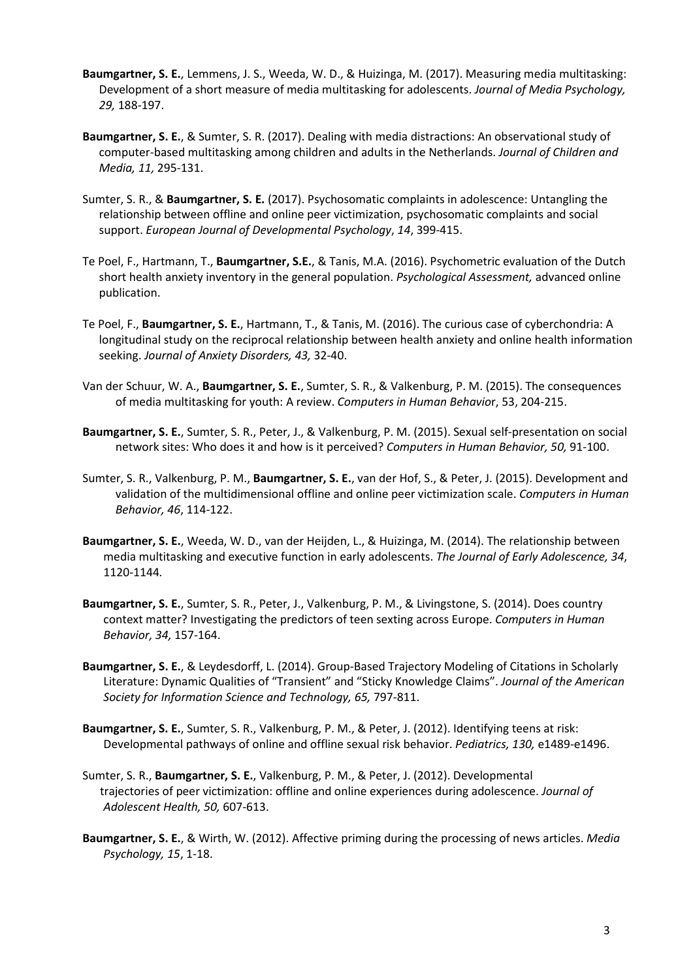- **Baumgartner, S. E.**, Lemmens, J. S., Weeda, W. D., & Huizinga, M. (2017). Measuring media multitasking: Development of a short measure of media multitasking for adolescents. *Journal of Media Psychology, 29,* 188-197.
- **Baumgartner, S. E.**, & Sumter, S. R. (2017). Dealing with media distractions: An observational study of computer-based multitasking among children and adults in the Netherlands. *Journal of Children and Media, 11,* 295-131.
- Sumter, S. R., & **Baumgartner, S. E.** (2017). Psychosomatic complaints in adolescence: Untangling the relationship between offline and online peer victimization, psychosomatic complaints and social support. *European Journal of Developmental Psychology*, *14*, 399-415.
- Te Poel, F., Hartmann, T., **Baumgartner, S.E.**, & Tanis, M.A. (2016). Psychometric evaluation of the Dutch short health anxiety inventory in the general population. *Psychological Assessment,* advanced online publication.
- Te Poel, F., **Baumgartner, S. E.**, Hartmann, T., & Tanis, M. (2016). The curious case of cyberchondria: A longitudinal study on the reciprocal relationship between health anxiety and online health information seeking. *Journal of Anxiety Disorders, 43,* 32-40.
- Van der Schuur, W. A., **Baumgartner, S. E.**, Sumter, S. R., & Valkenburg, P. M. (2015). The consequences of media multitasking for youth: A review. *Computers in Human Behavio*r, 53, 204-215.
- **Baumgartner, S. E.**, Sumter, S. R., Peter, J., & Valkenburg, P. M. (2015). Sexual self-presentation on social network sites: Who does it and how is it perceived? *Computers in Human Behavior, 50,* 91-100.
- Sumter, S. R., Valkenburg, P. M., **Baumgartner, S. E.**, van der Hof, S., & Peter, J. (2015). Development and validation of the multidimensional offline and online peer victimization scale. *Computers in Human Behavior, 46*, 114-122.
- **Baumgartner, S. E.**, Weeda, W. D., van der Heijden, L., & Huizinga, M. (2014). The relationship between media multitasking and executive function in early adolescents. *The Journal of Early Adolescence, 34*, 1120-1144*.*
- **Baumgartner, S. E.**, Sumter, S. R., Peter, J., Valkenburg, P. M., & Livingstone, S. (2014). Does country context matter? Investigating the predictors of teen sexting across Europe. *Computers in Human Behavior, 34,* 157-164.
- **Baumgartner, S. E.**, & Leydesdorff, L. (2014). Group-Based Trajectory Modeling of Citations in Scholarly Literature: Dynamic Qualities of "Transient" and "Sticky Knowledge Claims". *Journal of the American Society for Information Science and Technology, 65,* 797-811.
- **Baumgartner, S. E.**, Sumter, S. R., Valkenburg, P. M., & Peter, J. (2012). Identifying teens at risk: Developmental pathways of online and offline sexual risk behavior. *Pediatrics, 130,* e1489-e1496.
- Sumter, S. R., **Baumgartner, S. E.**, Valkenburg, P. M., & Peter, J. (2012). Developmental trajectories of peer victimization: offline and online experiences during adolescence. *Journal of Adolescent Health, 50,* 607-613.
- **Baumgartner, S. E.**, & Wirth, W. (2012). Affective priming during the processing of news articles. *Media Psychology, 15*, 1-18.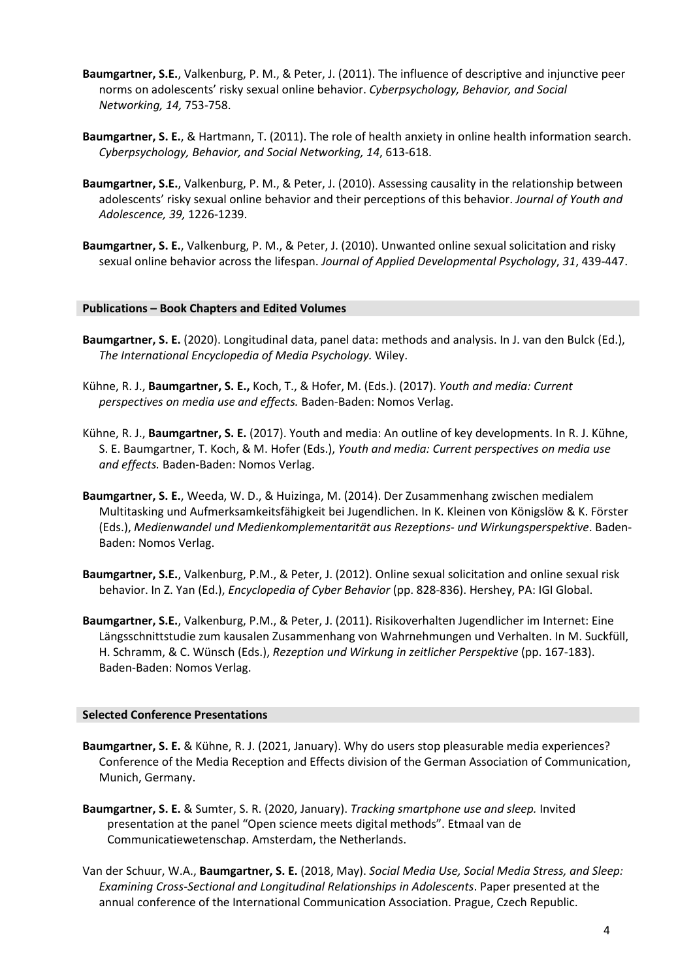- **Baumgartner, S.E.**, Valkenburg, P. M., & Peter, J. (2011). The influence of descriptive and injunctive peer norms on adolescents' risky sexual online behavior. *Cyberpsychology, Behavior, and Social Networking, 14,* 753-758.
- **Baumgartner, S. E.**, & Hartmann, T. (2011). The role of health anxiety in online health information search. *Cyberpsychology, Behavior, and Social Networking, 14*, 613-618.
- **Baumgartner, S.E.**, Valkenburg, P. M., & Peter, J. (2010). Assessing causality in the relationship between adolescents' risky sexual online behavior and their perceptions of this behavior. *Journal of Youth and Adolescence, 39,* 1226-1239.
- **Baumgartner, S. E.**, Valkenburg, P. M., & Peter, J. (2010). Unwanted online sexual solicitation and risky sexual online behavior across the lifespan. *Journal of Applied Developmental Psychology*, *31*, 439-447.

#### **Publications – Book Chapters and Edited Volumes**

- **Baumgartner, S. E.** (2020). Longitudinal data, panel data: methods and analysis. In J. van den Bulck (Ed.), *The International Encyclopedia of Media Psychology.* Wiley.
- Kühne, R. J., **Baumgartner, S. E.,** Koch, T., & Hofer, M. (Eds.). (2017). *Youth and media: Current perspectives on media use and effects.* Baden-Baden: Nomos Verlag.
- Kühne, R. J., **Baumgartner, S. E.** (2017). Youth and media: An outline of key developments. In R. J. Kühne, S. E. Baumgartner, T. Koch, & M. Hofer (Eds.), *Youth and media: Current perspectives on media use and effects.* Baden-Baden: Nomos Verlag.
- **Baumgartner, S. E.**, Weeda, W. D., & Huizinga, M. (2014). Der Zusammenhang zwischen medialem Multitasking und Aufmerksamkeitsfähigkeit bei Jugendlichen. In K. Kleinen von Königslöw & K. Förster (Eds.), *Medienwandel und Medienkomplementarität aus Rezeptions- und Wirkungsperspektive*. Baden-Baden: Nomos Verlag.
- **Baumgartner, S.E.**, Valkenburg, P.M., & Peter, J. (2012). Online sexual solicitation and online sexual risk behavior. In Z. Yan (Ed.), *Encyclopedia of Cyber Behavior* (pp. 828-836). Hershey, PA: IGI Global.
- **Baumgartner, S.E.**, Valkenburg, P.M., & Peter, J. (2011). Risikoverhalten Jugendlicher im Internet: Eine Längsschnittstudie zum kausalen Zusammenhang von Wahrnehmungen und Verhalten. In M. Suckfüll, H. Schramm, & C. Wünsch (Eds.), *Rezeption und Wirkung in zeitlicher Perspektive* (pp. 167-183). Baden-Baden: Nomos Verlag.

#### **Selected Conference Presentations**

- **Baumgartner, S. E.** & Kühne, R. J. (2021, January). Why do users stop pleasurable media experiences? Conference of the Media Reception and Effects division of the German Association of Communication, Munich, Germany.
- **Baumgartner, S. E.** & Sumter, S. R. (2020, January). *Tracking smartphone use and sleep.* Invited presentation at the panel "Open science meets digital methods". Etmaal van de Communicatiewetenschap. Amsterdam, the Netherlands.
- Van der Schuur, W.A., **Baumgartner, S. E.** (2018, May). *Social Media Use, Social Media Stress, and Sleep: Examining Cross-Sectional and Longitudinal Relationships in Adolescents*. Paper presented at the annual conference of the International Communication Association. Prague, Czech Republic.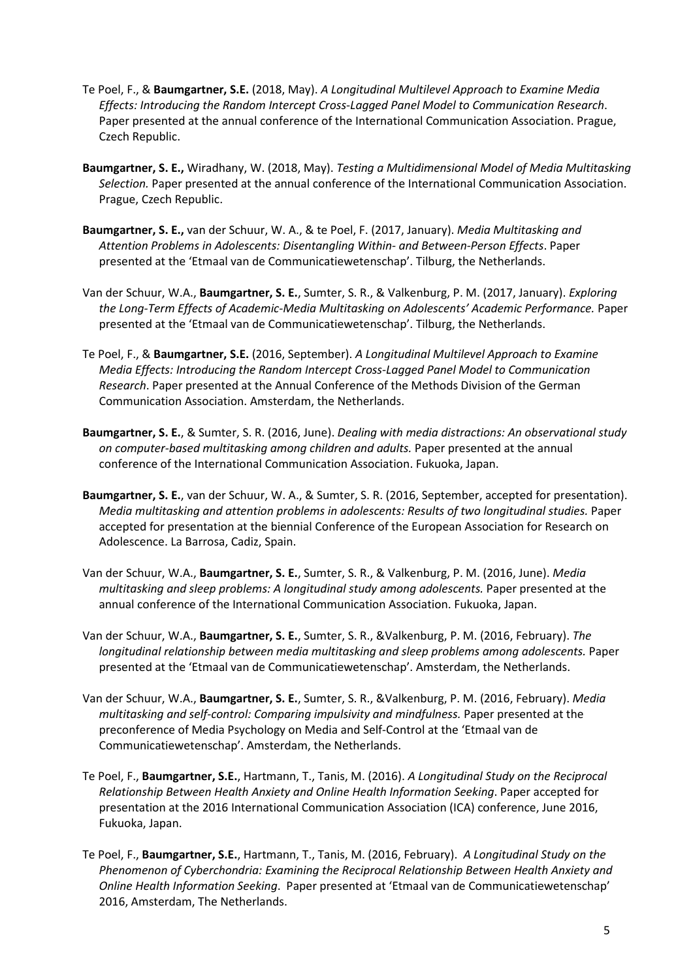- Te Poel, F., & **Baumgartner, S.E.** (2018, May). *A Longitudinal Multilevel Approach to Examine Media Effects: Introducing the Random Intercept Cross-Lagged Panel Model to Communication Research*. Paper presented at the annual conference of the International Communication Association. Prague, Czech Republic.
- **Baumgartner, S. E.,** Wiradhany, W. (2018, May). *Testing a Multidimensional Model of Media Multitasking Selection.* Paper presented at the annual conference of the International Communication Association. Prague, Czech Republic.
- **Baumgartner, S. E.,** van der Schuur, W. A., & te Poel, F. (2017, January). *Media Multitasking and Attention Problems in Adolescents: Disentangling Within- and Between-Person Effects*. Paper presented at the 'Etmaal van de Communicatiewetenschap'. Tilburg, the Netherlands.
- Van der Schuur, W.A., **Baumgartner, S. E.**, Sumter, S. R., & Valkenburg, P. M. (2017, January). *Exploring the Long-Term Effects of Academic-Media Multitasking on Adolescents' Academic Performance.* Paper presented at the 'Etmaal van de Communicatiewetenschap'. Tilburg, the Netherlands.
- Te Poel, F., & **Baumgartner, S.E.** (2016, September). *A Longitudinal Multilevel Approach to Examine Media Effects: Introducing the Random Intercept Cross-Lagged Panel Model to Communication Research*. Paper presented at the Annual Conference of the Methods Division of the German Communication Association. Amsterdam, the Netherlands.
- **Baumgartner, S. E.**, & Sumter, S. R. (2016, June). *Dealing with media distractions: An observational study on computer-based multitasking among children and adults.* Paper presented at the annual conference of the International Communication Association. Fukuoka, Japan.
- **Baumgartner, S. E.**, van der Schuur, W. A., & Sumter, S. R. (2016, September, accepted for presentation). *Media multitasking and attention problems in adolescents: Results of two longitudinal studies.* Paper accepted for presentation at the biennial Conference of the European Association for Research on Adolescence. La Barrosa, Cadiz, Spain.
- Van der Schuur, W.A., **Baumgartner, S. E.**, Sumter, S. R., & Valkenburg, P. M. (2016, June). *Media multitasking and sleep problems: A longitudinal study among adolescents.* Paper presented at the annual conference of the International Communication Association. Fukuoka, Japan.
- Van der Schuur, W.A., **Baumgartner, S. E.**, Sumter, S. R., &Valkenburg, P. M. (2016, February). *The longitudinal relationship between media multitasking and sleep problems among adolescents.* Paper presented at the 'Etmaal van de Communicatiewetenschap'. Amsterdam, the Netherlands.
- Van der Schuur, W.A., **Baumgartner, S. E.**, Sumter, S. R., &Valkenburg, P. M. (2016, February). *Media multitasking and self-control: Comparing impulsivity and mindfulness.* Paper presented at the preconference of Media Psychology on Media and Self-Control at the 'Etmaal van de Communicatiewetenschap'. Amsterdam, the Netherlands.
- Te Poel, F., **Baumgartner, S.E.**, Hartmann, T., Tanis, M. (2016). *A Longitudinal Study on the Reciprocal Relationship Between Health Anxiety and Online Health Information Seeking*. Paper accepted for presentation at the 2016 International Communication Association (ICA) conference, June 2016, Fukuoka, Japan.
- Te Poel, F., **Baumgartner, S.E.**, Hartmann, T., Tanis, M. (2016, February). *A Longitudinal Study on the Phenomenon of Cyberchondria: Examining the Reciprocal Relationship Between Health Anxiety and Online Health Information Seeking*. Paper presented at 'Etmaal van de Communicatiewetenschap' 2016, Amsterdam, The Netherlands.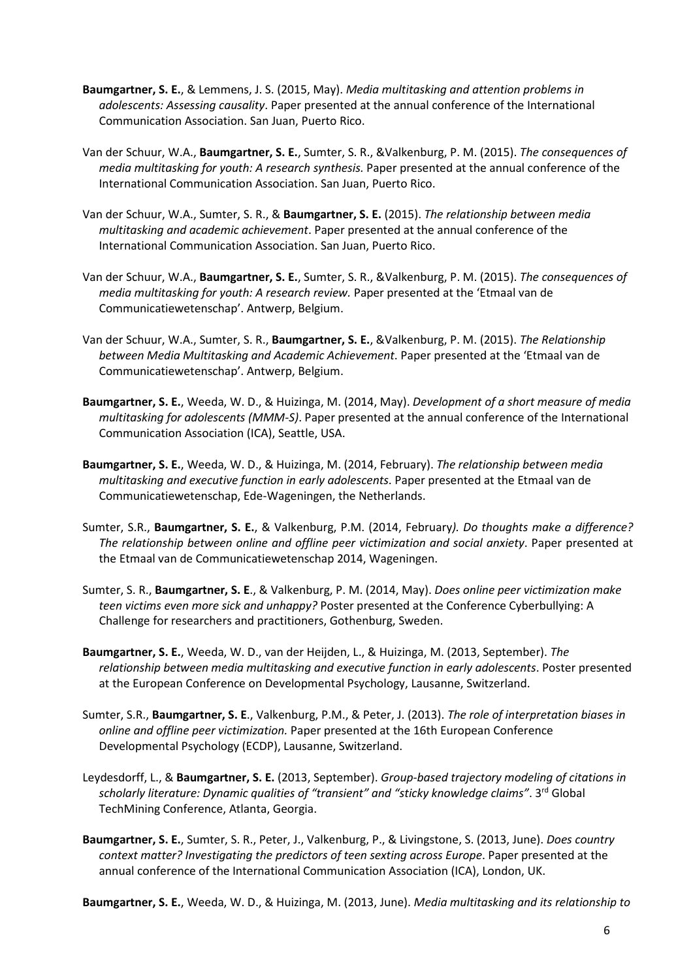- **Baumgartner, S. E.**, & Lemmens, J. S. (2015, May). *Media multitasking and attention problems in adolescents: Assessing causality*. Paper presented at the annual conference of the International Communication Association. San Juan, Puerto Rico.
- Van der Schuur, W.A., **Baumgartner, S. E.**, Sumter, S. R., &Valkenburg, P. M. (2015). *The consequences of media multitasking for youth: A research synthesis.* Paper presented at the annual conference of the International Communication Association. San Juan, Puerto Rico.
- Van der Schuur, W.A., Sumter, S. R., & **Baumgartner, S. E.** (2015). *The relationship between media multitasking and academic achievement*. Paper presented at the annual conference of the International Communication Association. San Juan, Puerto Rico.
- Van der Schuur, W.A., **Baumgartner, S. E.**, Sumter, S. R., &Valkenburg, P. M. (2015). *The consequences of media multitasking for youth: A research review.* Paper presented at the 'Etmaal van de Communicatiewetenschap'. Antwerp, Belgium.
- Van der Schuur, W.A., Sumter, S. R., **Baumgartner, S. E.**, &Valkenburg, P. M. (2015). *The Relationship between Media Multitasking and Academic Achievement*. Paper presented at the 'Etmaal van de Communicatiewetenschap'. Antwerp, Belgium.
- **Baumgartner, S. E.**, Weeda, W. D., & Huizinga, M. (2014, May). *Development of a short measure of media multitasking for adolescents (MMM-S)*. Paper presented at the annual conference of the International Communication Association (ICA), Seattle, USA.
- **Baumgartner, S. E.**, Weeda, W. D., & Huizinga, M. (2014, February). *The relationship between media multitasking and executive function in early adolescents*. Paper presented at the Etmaal van de Communicatiewetenschap, Ede-Wageningen, the Netherlands.
- Sumter, S.R., **Baumgartner, S. E.**, & Valkenburg, P.M. (2014, February*). Do thoughts make a difference? The relationship between online and offline peer victimization and social anxiety*. Paper presented at the Etmaal van de Communicatiewetenschap 2014, Wageningen.
- Sumter, S. R., **Baumgartner, S. E**., & Valkenburg, P. M. (2014, May). *Does online peer victimization make teen victims even more sick and unhappy?* Poster presented at the Conference Cyberbullying: A Challenge for researchers and practitioners, Gothenburg, Sweden.
- **Baumgartner, S. E.**, Weeda, W. D., van der Heijden, L., & Huizinga, M. (2013, September). *The relationship between media multitasking and executive function in early adolescents*. Poster presented at the European Conference on Developmental Psychology, Lausanne, Switzerland.
- Sumter, S.R., **Baumgartner, S. E**., Valkenburg, P.M., & Peter, J. (2013). *The role of interpretation biases in online and offline peer victimization.* Paper presented at the 16th European Conference Developmental Psychology (ECDP), Lausanne, Switzerland.
- Leydesdorff, L., & **Baumgartner, S. E.** (2013, September). *Group-based trajectory modeling of citations in scholarly literature: Dynamic qualities of "transient" and "sticky knowledge claims"*. 3rd Global TechMining Conference, Atlanta, Georgia.
- **Baumgartner, S. E.**, Sumter, S. R., Peter, J., Valkenburg, P., & Livingstone, S. (2013, June). *Does country context matter? Investigating the predictors of teen sexting across Europe*. Paper presented at the annual conference of the International Communication Association (ICA), London, UK.
- **Baumgartner, S. E.**, Weeda, W. D., & Huizinga, M. (2013, June). *Media multitasking and its relationship to*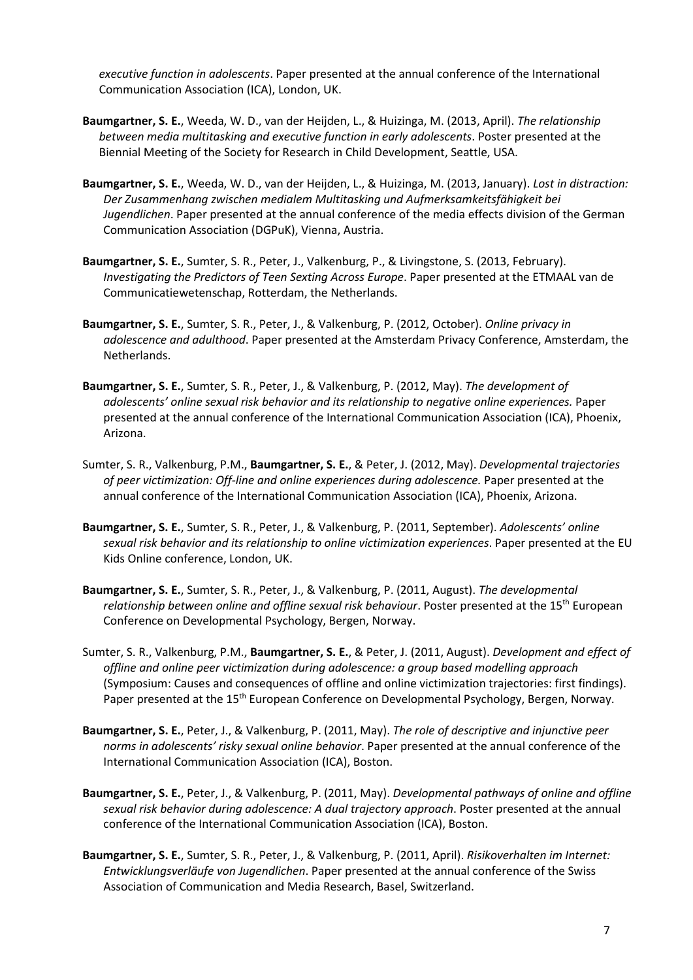*executive function in adolescents*. Paper presented at the annual conference of the International Communication Association (ICA), London, UK.

- **Baumgartner, S. E.**, Weeda, W. D., van der Heijden, L., & Huizinga, M. (2013, April). *The relationship between media multitasking and executive function in early adolescents*. Poster presented at the Biennial Meeting of the Society for Research in Child Development, Seattle, USA.
- **Baumgartner, S. E.**, Weeda, W. D., van der Heijden, L., & Huizinga, M. (2013, January). *Lost in distraction: Der Zusammenhang zwischen medialem Multitasking und Aufmerksamkeitsfähigkeit bei Jugendlichen*. Paper presented at the annual conference of the media effects division of the German Communication Association (DGPuK), Vienna, Austria.
- **Baumgartner, S. E.**, Sumter, S. R., Peter, J., Valkenburg, P., & Livingstone, S. (2013, February). *Investigating the Predictors of Teen Sexting Across Europe*. Paper presented at the ETMAAL van de Communicatiewetenschap, Rotterdam, the Netherlands.
- **Baumgartner, S. E.**, Sumter, S. R., Peter, J., & Valkenburg, P. (2012, October). *Online privacy in adolescence and adulthood*. Paper presented at the Amsterdam Privacy Conference, Amsterdam, the Netherlands.
- **Baumgartner, S. E.**, Sumter, S. R., Peter, J., & Valkenburg, P. (2012, May). *The development of adolescents' online sexual risk behavior and its relationship to negative online experiences.* Paper presented at the annual conference of the International Communication Association (ICA), Phoenix, Arizona.
- Sumter, S. R., Valkenburg, P.M., **Baumgartner, S. E.**, & Peter, J. (2012, May). *Developmental trajectories of peer victimization: Off-line and online experiences during adolescence.* Paper presented at the annual conference of the International Communication Association (ICA), Phoenix, Arizona.
- **Baumgartner, S. E.**, Sumter, S. R., Peter, J., & Valkenburg, P. (2011, September). *Adolescents' online sexual risk behavior and its relationship to online victimization experiences*. Paper presented at the EU Kids Online conference, London, UK.
- **Baumgartner, S. E.**, Sumter, S. R., Peter, J., & Valkenburg, P. (2011, August). *The developmental*  relationship between online and offline sexual risk behaviour. Poster presented at the 15<sup>th</sup> European Conference on Developmental Psychology, Bergen, Norway.
- Sumter, S. R., Valkenburg, P.M., **Baumgartner, S. E.**, & Peter, J. (2011, August). *Development and effect of offline and online peer victimization during adolescence: a group based modelling approach* (Symposium: Causes and consequences of offline and online victimization trajectories: first findings). Paper presented at the 15<sup>th</sup> European Conference on Developmental Psychology, Bergen, Norway.
- **Baumgartner, S. E.**, Peter, J., & Valkenburg, P. (2011, May). *The role of descriptive and injunctive peer norms in adolescents' risky sexual online behavior*. Paper presented at the annual conference of the International Communication Association (ICA), Boston.
- **Baumgartner, S. E.**, Peter, J., & Valkenburg, P. (2011, May). *Developmental pathways of online and offline sexual risk behavior during adolescence: A dual trajectory approach*. Poster presented at the annual conference of the International Communication Association (ICA), Boston.
- **Baumgartner, S. E.**, Sumter, S. R., Peter, J., & Valkenburg, P. (2011, April). *Risikoverhalten im Internet: Entwicklungsverläufe von Jugendlichen*. Paper presented at the annual conference of the Swiss Association of Communication and Media Research, Basel, Switzerland.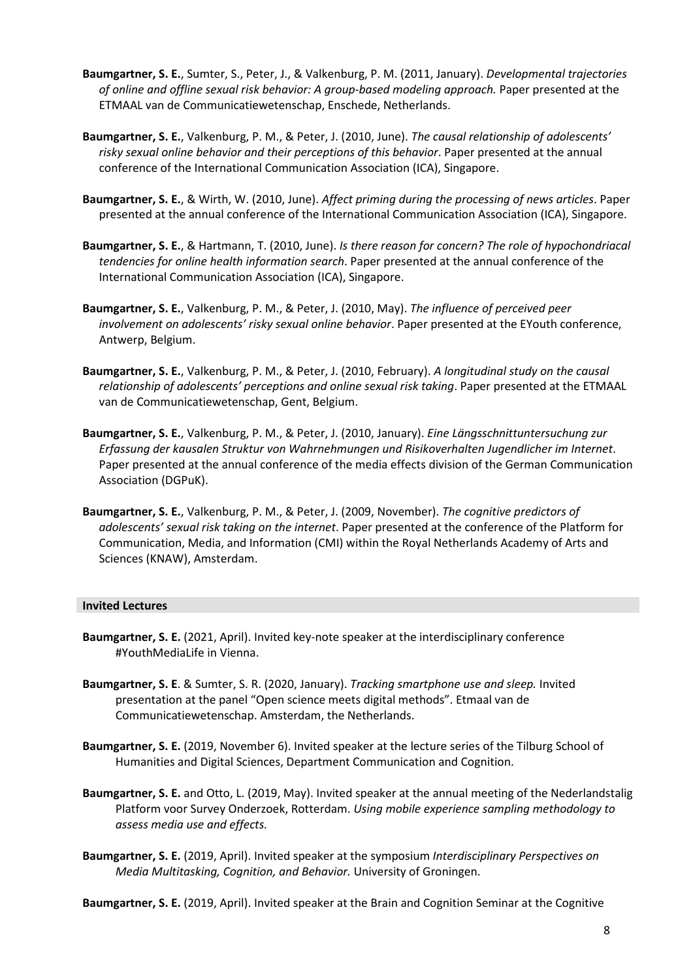- **Baumgartner, S. E.**, Sumter, S., Peter, J., & Valkenburg, P. M. (2011, January). *Developmental trajectories*  of online and offline sexual risk behavior: A group-based modeling approach. Paper presented at the ETMAAL van de Communicatiewetenschap, Enschede, Netherlands.
- **Baumgartner, S. E.**, Valkenburg, P. M., & Peter, J. (2010, June). *The causal relationship of adolescents' risky sexual online behavior and their perceptions of this behavior*. Paper presented at the annual conference of the International Communication Association (ICA), Singapore.
- **Baumgartner, S. E.**, & Wirth, W. (2010, June). *Affect priming during the processing of news articles*. Paper presented at the annual conference of the International Communication Association (ICA), Singapore.
- **Baumgartner, S. E.**, & Hartmann, T. (2010, June). *Is there reason for concern? The role of hypochondriacal tendencies for online health information search*. Paper presented at the annual conference of the International Communication Association (ICA), Singapore.
- **Baumgartner, S. E.**, Valkenburg, P. M., & Peter, J. (2010, May). *The influence of perceived peer involvement on adolescents' risky sexual online behavior*. Paper presented at the EYouth conference, Antwerp, Belgium.
- **Baumgartner, S. E.**, Valkenburg, P. M., & Peter, J. (2010, February). *A longitudinal study on the causal relationship of adolescents' perceptions and online sexual risk taking*. Paper presented at the ETMAAL van de Communicatiewetenschap, Gent, Belgium.
- **Baumgartner, S. E.**, Valkenburg, P. M., & Peter, J. (2010, January). *Eine Längsschnittuntersuchung zur Erfassung der kausalen Struktur von Wahrnehmungen und Risikoverhalten Jugendlicher im Internet*. Paper presented at the annual conference of the media effects division of the German Communication Association (DGPuK).
- **Baumgartner, S. E.**, Valkenburg, P. M., & Peter, J. (2009, November). *The cognitive predictors of adolescents' sexual risk taking on the internet*. Paper presented at the conference of the Platform for Communication, Media, and Information (CMI) within the Royal Netherlands Academy of Arts and Sciences (KNAW), Amsterdam.

### **Invited Lectures**

- **Baumgartner, S. E.** (2021, April). Invited key-note speaker at the interdisciplinary conference #YouthMediaLife in Vienna.
- **Baumgartner, S. E**. & Sumter, S. R. (2020, January). *Tracking smartphone use and sleep.* Invited presentation at the panel "Open science meets digital methods". Etmaal van de Communicatiewetenschap. Amsterdam, the Netherlands.
- **Baumgartner, S. E.** (2019, November 6). Invited speaker at the lecture series of the Tilburg School of Humanities and Digital Sciences, Department Communication and Cognition.
- **Baumgartner, S. E.** and Otto, L. (2019, May). Invited speaker at the annual meeting of the Nederlandstalig Platform voor Survey Onderzoek, Rotterdam. *Using mobile experience sampling methodology to assess media use and effects.*
- **Baumgartner, S. E.** (2019, April). Invited speaker at the symposium *Interdisciplinary Perspectives on Media Multitasking, Cognition, and Behavior.* University of Groningen.

**Baumgartner, S. E.** (2019, April). Invited speaker at the Brain and Cognition Seminar at the Cognitive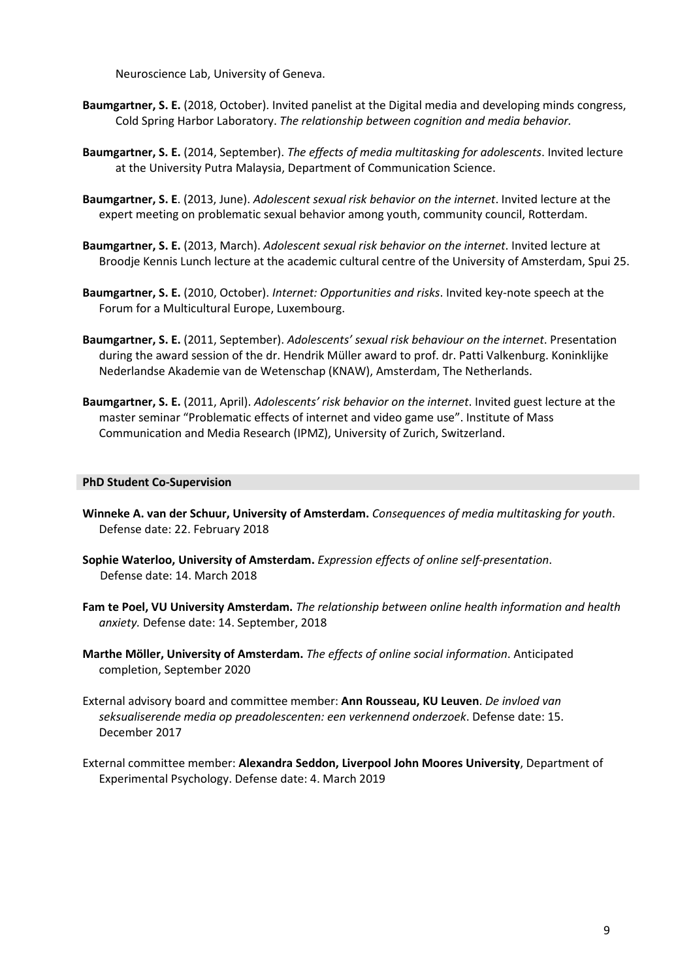Neuroscience Lab, University of Geneva.

- **Baumgartner, S. E.** (2018, October). Invited panelist at the Digital media and developing minds congress, Cold Spring Harbor Laboratory. *The relationship between cognition and media behavior.*
- **Baumgartner, S. E.** (2014, September). *The effects of media multitasking for adolescents*. Invited lecture at the University Putra Malaysia, Department of Communication Science.
- **Baumgartner, S. E**. (2013, June). *Adolescent sexual risk behavior on the internet*. Invited lecture at the expert meeting on problematic sexual behavior among youth, community council, Rotterdam.
- **Baumgartner, S. E.** (2013, March). *Adolescent sexual risk behavior on the internet*. Invited lecture at Broodje Kennis Lunch lecture at the academic cultural centre of the University of Amsterdam, Spui 25.
- **Baumgartner, S. E.** (2010, October). *Internet: Opportunities and risks*. Invited key-note speech at the Forum for a Multicultural Europe, Luxembourg.
- **Baumgartner, S. E.** (2011, September). *Adolescents' sexual risk behaviour on the internet*. Presentation during the award session of the dr. Hendrik Müller award to prof. dr. Patti Valkenburg. Koninklijke Nederlandse Akademie van de Wetenschap (KNAW), Amsterdam, The Netherlands.
- **Baumgartner, S. E.** (2011, April). *Adolescents' risk behavior on the internet*. Invited guest lecture at the master seminar "Problematic effects of internet and video game use". Institute of Mass Communication and Media Research (IPMZ), University of Zurich, Switzerland.

#### **PhD Student Co-Supervision**

- **Winneke A. van der Schuur, University of Amsterdam.** *Consequences of media multitasking for youth*. Defense date: 22. February 2018
- **Sophie Waterloo, University of Amsterdam.** *Expression effects of online self-presentation*. Defense date: 14. March 2018
- **Fam te Poel, VU University Amsterdam.** *The relationship between online health information and health anxiety.* Defense date: 14. September, 2018
- **Marthe Möller, University of Amsterdam.** *The effects of online social information*. Anticipated completion, September 2020
- External advisory board and committee member: **Ann Rousseau, KU Leuven**. *De invloed van seksualiserende media op preadolescenten: een verkennend onderzoek*. Defense date: 15. December 2017
- External committee member: **Alexandra Seddon, Liverpool John Moores University**, Department of Experimental Psychology. Defense date: 4. March 2019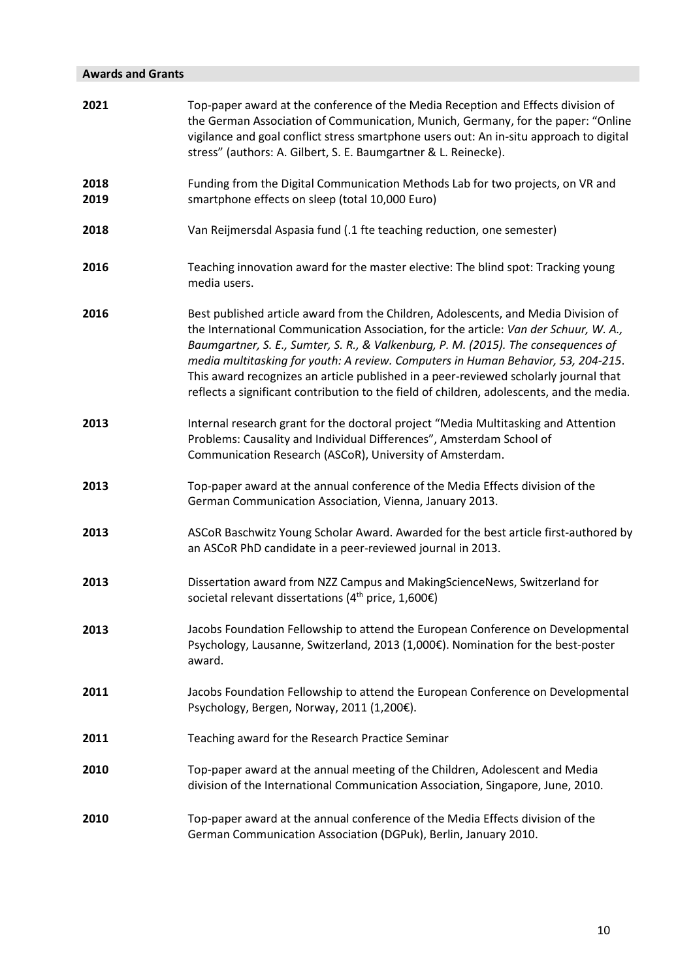## **Awards and Grants**

| 2021         | Top-paper award at the conference of the Media Reception and Effects division of<br>the German Association of Communication, Munich, Germany, for the paper: "Online<br>vigilance and goal conflict stress smartphone users out: An in-situ approach to digital<br>stress" (authors: A. Gilbert, S. E. Baumgartner & L. Reinecke).                                                                                                                                                                                                         |
|--------------|--------------------------------------------------------------------------------------------------------------------------------------------------------------------------------------------------------------------------------------------------------------------------------------------------------------------------------------------------------------------------------------------------------------------------------------------------------------------------------------------------------------------------------------------|
| 2018<br>2019 | Funding from the Digital Communication Methods Lab for two projects, on VR and<br>smartphone effects on sleep (total 10,000 Euro)                                                                                                                                                                                                                                                                                                                                                                                                          |
| 2018         | Van Reijmersdal Aspasia fund (.1 fte teaching reduction, one semester)                                                                                                                                                                                                                                                                                                                                                                                                                                                                     |
| 2016         | Teaching innovation award for the master elective: The blind spot: Tracking young<br>media users.                                                                                                                                                                                                                                                                                                                                                                                                                                          |
| 2016         | Best published article award from the Children, Adolescents, and Media Division of<br>the International Communication Association, for the article: Van der Schuur, W. A.,<br>Baumgartner, S. E., Sumter, S. R., & Valkenburg, P. M. (2015). The consequences of<br>media multitasking for youth: A review. Computers in Human Behavior, 53, 204-215.<br>This award recognizes an article published in a peer-reviewed scholarly journal that<br>reflects a significant contribution to the field of children, adolescents, and the media. |
| 2013         | Internal research grant for the doctoral project "Media Multitasking and Attention<br>Problems: Causality and Individual Differences", Amsterdam School of<br>Communication Research (ASCoR), University of Amsterdam.                                                                                                                                                                                                                                                                                                                     |
| 2013         | Top-paper award at the annual conference of the Media Effects division of the<br>German Communication Association, Vienna, January 2013.                                                                                                                                                                                                                                                                                                                                                                                                   |
| 2013         | ASCoR Baschwitz Young Scholar Award. Awarded for the best article first-authored by<br>an ASCoR PhD candidate in a peer-reviewed journal in 2013.                                                                                                                                                                                                                                                                                                                                                                                          |
| 2013         | Dissertation award from NZZ Campus and MakingScienceNews, Switzerland for<br>societal relevant dissertations (4 <sup>th</sup> price, 1,600€)                                                                                                                                                                                                                                                                                                                                                                                               |
| 2013         | Jacobs Foundation Fellowship to attend the European Conference on Developmental<br>Psychology, Lausanne, Switzerland, 2013 (1,000€). Nomination for the best-poster<br>award.                                                                                                                                                                                                                                                                                                                                                              |
| 2011         | Jacobs Foundation Fellowship to attend the European Conference on Developmental<br>Psychology, Bergen, Norway, 2011 (1,200€).                                                                                                                                                                                                                                                                                                                                                                                                              |
| 2011         | Teaching award for the Research Practice Seminar                                                                                                                                                                                                                                                                                                                                                                                                                                                                                           |
| 2010         | Top-paper award at the annual meeting of the Children, Adolescent and Media<br>division of the International Communication Association, Singapore, June, 2010.                                                                                                                                                                                                                                                                                                                                                                             |
| 2010         | Top-paper award at the annual conference of the Media Effects division of the<br>German Communication Association (DGPuk), Berlin, January 2010.                                                                                                                                                                                                                                                                                                                                                                                           |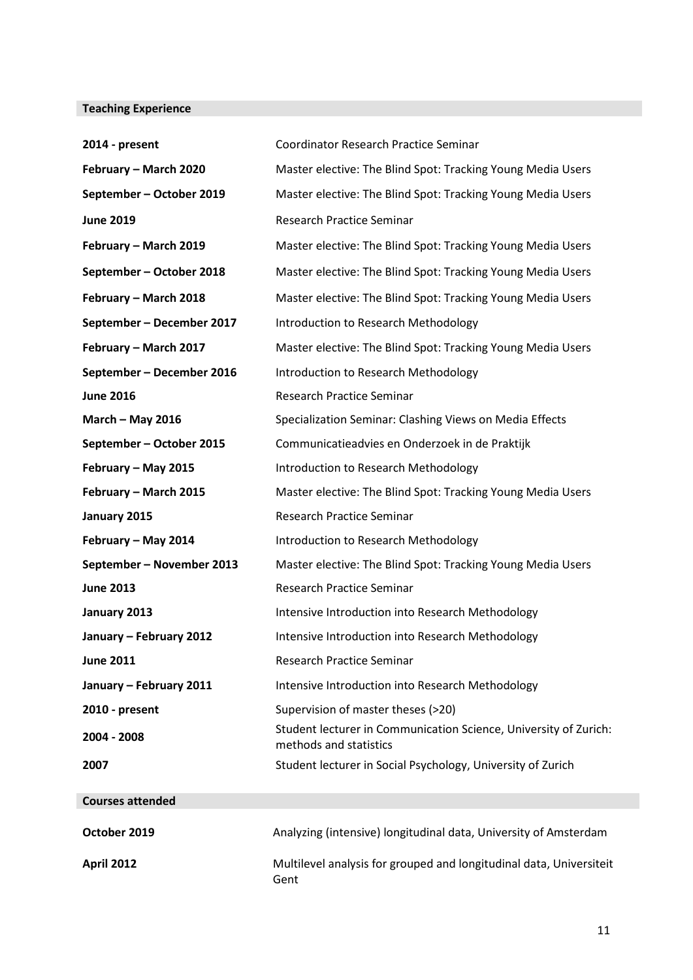### **Teaching Experience**

| 2014 - present            | <b>Coordinator Research Practice Seminar</b>                                               |
|---------------------------|--------------------------------------------------------------------------------------------|
| February - March 2020     | Master elective: The Blind Spot: Tracking Young Media Users                                |
| September - October 2019  | Master elective: The Blind Spot: Tracking Young Media Users                                |
| <b>June 2019</b>          | <b>Research Practice Seminar</b>                                                           |
| February - March 2019     | Master elective: The Blind Spot: Tracking Young Media Users                                |
| September - October 2018  | Master elective: The Blind Spot: Tracking Young Media Users                                |
| February - March 2018     | Master elective: The Blind Spot: Tracking Young Media Users                                |
| September - December 2017 | Introduction to Research Methodology                                                       |
| February - March 2017     | Master elective: The Blind Spot: Tracking Young Media Users                                |
| September - December 2016 | Introduction to Research Methodology                                                       |
| <b>June 2016</b>          | <b>Research Practice Seminar</b>                                                           |
| March - May 2016          | Specialization Seminar: Clashing Views on Media Effects                                    |
| September - October 2015  | Communicatieadvies en Onderzoek in de Praktijk                                             |
| February - May 2015       | Introduction to Research Methodology                                                       |
| February - March 2015     | Master elective: The Blind Spot: Tracking Young Media Users                                |
| January 2015              | <b>Research Practice Seminar</b>                                                           |
| February - May 2014       | Introduction to Research Methodology                                                       |
| September - November 2013 | Master elective: The Blind Spot: Tracking Young Media Users                                |
| <b>June 2013</b>          | <b>Research Practice Seminar</b>                                                           |
| January 2013              | Intensive Introduction into Research Methodology                                           |
| January - February 2012   | Intensive Introduction into Research Methodology                                           |
| <b>June 2011</b>          | <b>Research Practice Seminar</b>                                                           |
| January - February 2011   | Intensive Introduction into Research Methodology                                           |
| 2010 - present            | Supervision of master theses (>20)                                                         |
| 2004 - 2008               | Student lecturer in Communication Science, University of Zurich:<br>methods and statistics |
| 2007                      | Student lecturer in Social Psychology, University of Zurich                                |
| <b>Courses attended</b>   |                                                                                            |

| October 2019      | Analyzing (intensive) longitudinal data, University of Amsterdam            |
|-------------------|-----------------------------------------------------------------------------|
| <b>April 2012</b> | Multilevel analysis for grouped and longitudinal data, Universiteit<br>Gent |